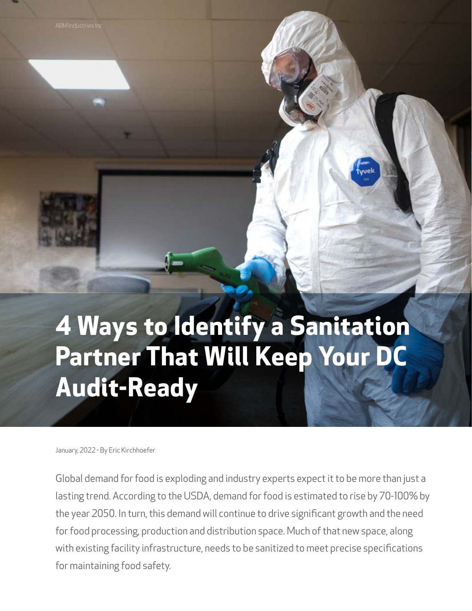# **4 Ways to Identify a Sanitation Partner That Will Keep Your DC Audit-Ready**

January, 2022 - By Eric Kirchhoefer

Global demand for food is exploding and industry experts expect it to be more than just a lasting trend. According to the USDA, demand for food is estimated to rise by 70-100% by the year 2050. In turn, this demand will continue to drive significant growth and the need for food processing, production and distribution space. Much of that new space, along with existing facility infrastructure, needs to be sanitized to meet precise specifications for maintaining food safety.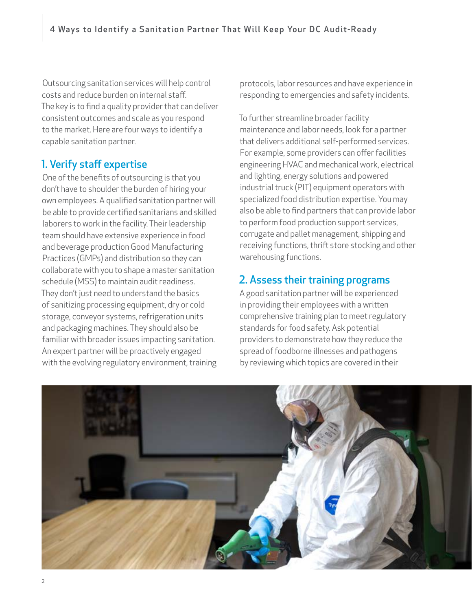Outsourcing sanitation services will help control costs and reduce burden on internal staff. The key is to find a quality provider that can deliver consistent outcomes and scale as you respond to the market. Here are four ways to identify a capable sanitation partner.

### 1. Verify staff expertise

One of the benefits of outsourcing is that you don't have to shoulder the burden of hiring your own employees. A qualified sanitation partner will be able to provide certified sanitarians and skilled laborers to work in the facility. Their leadership team should have extensive experience in food and beverage production Good Manufacturing Practices (GMPs) and distribution so they can collaborate with you to shape a master sanitation schedule (MSS) to maintain audit readiness. They don't just need to understand the basics of sanitizing processing equipment, dry or cold storage, conveyor systems, refrigeration units and packaging machines. They should also be familiar with broader issues impacting sanitation. An expert partner will be proactively engaged with the evolving regulatory environment, training protocols, labor resources and have experience in responding to emergencies and safety incidents.

To further streamline broader facility maintenance and labor needs, look for a partner that delivers additional self-performed services. For example, some providers can offer facilities engineering HVAC and mechanical work, electrical and lighting, energy solutions and powered industrial truck (PIT) equipment operators with specialized food distribution expertise. You may also be able to find partners that can provide labor to perform food production support services, corrugate and pallet management, shipping and receiving functions, thrift store stocking and other warehousing functions.

#### 2. Assess their training programs

A good sanitation partner will be experienced in providing their employees with a written comprehensive training plan to meet regulatory standards for food safety. Ask potential providers to demonstrate how they reduce the spread of foodborne illnesses and pathogens by reviewing which topics are covered in their